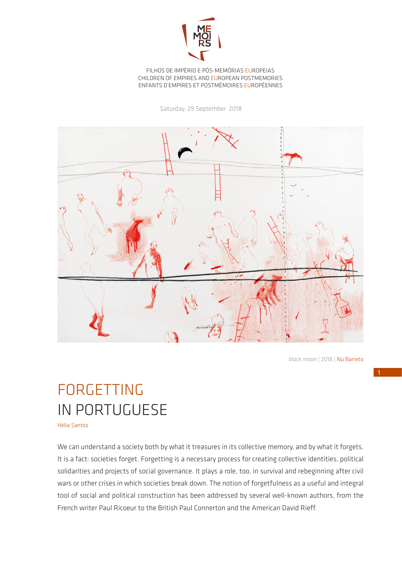

## FILHOS DE IMPÉRIO E PÓS-MEMÓRIAS EUROPEIAS CHILDREN OF EMPIRES AND EUROPEAN POSTMEMORIES ENFANTS D'EMPIRES ET POSTMÉMOIRES EUROPÉENNES

Saturday, 29 September 2018



*black moon* | 2018 | Nú Barreto

## FORGETTING IN PORTUGUESE

Hélia Santos

We can understand a society both by what it treasures in its collective memory, and by what it forgets. It is a fact: societies forget. Forgetting is a necessary process for creating collective identities, political solidarities and projects of social governance. It plays a role, too, in survival and rebeginning after civil wars or other crises in which societies break down. The notion of forgetfulness as a useful and integral tool of social and political construction has been addressed by several well-known authors, from the French writer Paul Ricoeur to the British Paul Connerton and the American David Rieff.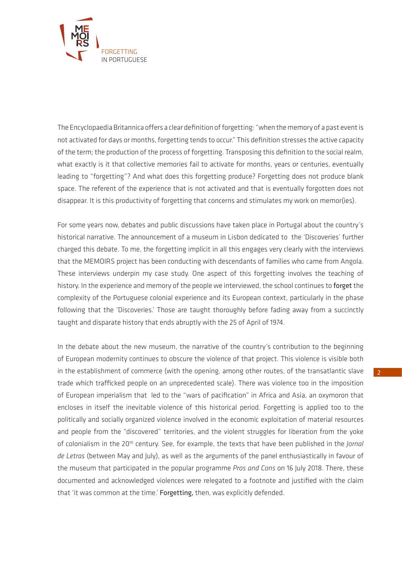

The Encyclopaedia Britannica offers a clear definition of forgetting: "when the memory of a past event is not activated for days or months, forgetting tends to occur." This definition stresses the active capacity of the term; the production of the process of forgetting. Transposing this definition to the social realm, what exactly is it that collective memories fail to activate for months, years or centuries, eventually leading to "forgetting"? And what does this forgetting produce? Forgetting does not produce blank space. The referent of the experience that is not activated and that is eventually forgotten does not disappear. It is this productivity of forgetting that concerns and stimulates my work on memor(ies).

For some years now, debates and public discussions have taken place in Portugal about the country's historical narrative. The announcement of a museum in Lisbon dedicated to the 'Discoveries' further charged this debate. To me, the forgetting implicit in all this engages very clearly with the interviews that the MEMOIRS project has been conducting with descendants of families who came from Angola. These interviews underpin my case study. One aspect of this forgetting involves the teaching of history. In the experience and memory of the people we interviewed, the school continues to forget the complexity of the Portuguese colonial experience and its European context, particularly in the phase following that the 'Discoveries.' Those are taught thoroughly before fading away from a succinctly taught and disparate history that ends abruptly with the 25 of April of 1974.

In the debate about the new museum, the narrative of the country's contribution to the beginning of European modernity continues to obscure the violence of that project. This violence is visible both in the establishment of commerce (with the opening, among other routes, of the transatlantic slave trade which trafficked people on an unprecedented scale). There was violence too in the imposition of European imperialism that led to the "wars of pacification" in Africa and Asia, an oxymoron that encloses in itself the inevitable violence of this historical period. Forgetting is applied too to the politically and socially organized violence involved in the economic exploitation of material resources and people from the "discovered" territories, and the violent struggles for liberation from the yoke of colonialism in the 20<sup>th</sup> century. See, for example, the texts that have been published in the *Jornal de Letras* (between May and July), as well as the arguments of the panel enthusiastically in favour of the museum that participated in the popular programme *Pros and Cons* on 16 July 2018. There, these documented and acknowledged violences were relegated to a footnote and justified with the claim that 'it was common at the time.' Forgetting, then, was explicitly defended.